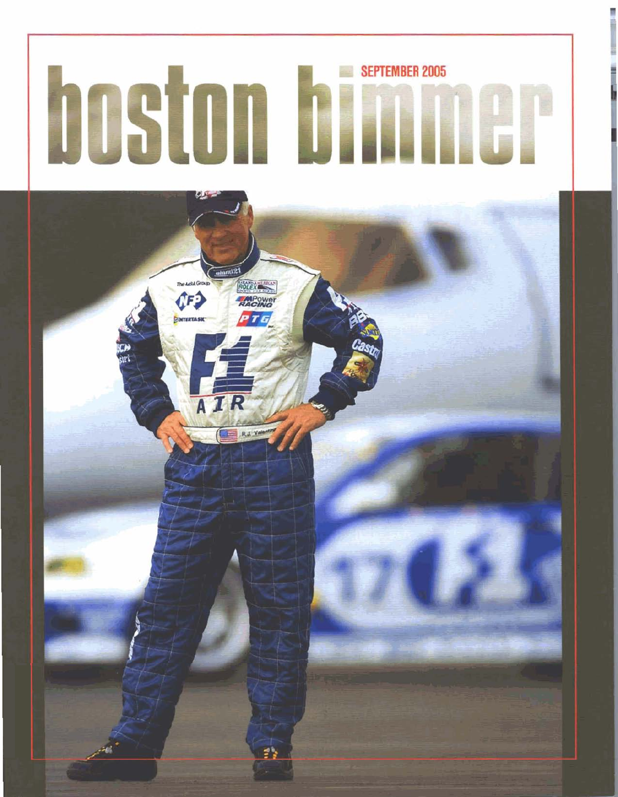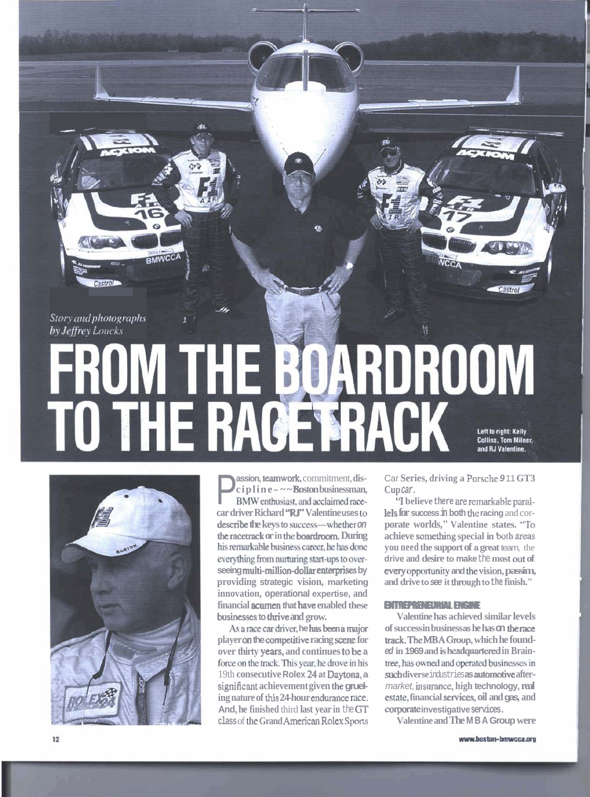*Story and photographs*  $by$  *Jeffrey Loucks* 

Castrol

- /-

a<br>ang -

 $\overline{\phantom{a}}$ 

**RMWCC** 

## **DARDROOM** FROM **Siile** TO THE RACE FRACK Left to right: Kelly Collins, Tom Milner, and RJ Valentine.



**P** assion, teamwork, commitment, discreption by  $\mathbf{c} = \mathbf{c} - \mathbf{c}$  **Boston** businessman, **BMW** enthusiast, and acclaimed race-**BMW** enthusiast, and acclaimed race**car driver Richard "RJ" Valentine uses** lo **describe the keys to success-whether on the racetrack or in the boardroom. During** his remarkable business career, he has done everything from nurturing start-ups to over- $\alpha$  seeing multi-million-dollar enterprises by **providing strategic vision, marketing innovation, operational expertise, and financial mcn that have enabled these businesses to thrive and grow.** 

As a race car driver, he has been a major **player an the aompxitive racing** scene **for over thirty years, and continues to be a**  force on the track. This year, he drove in his 19th **consecutive Rolex** 24 **at Daytona, a sigaificant achievement given** the **grueling nature of this 24-hour endurance race. And, he finished** third **last year in** the **GT class of the Grand American Rolex Sports**  Car **Series, driving a** Porsche **9** 11 **GT3 Cup car.** 

**"I believe there nre remarkable parat lels for success in both** the **racing** and cor**porate worlds," Valentine states. "To achieve somerhing special in** both **areas you need the support of a great** team, the **drive and desire to make** the **most OUT of**   $e$ **very** opportunity and the vision, passim, **achieve something special in both areas**<br>**you need the support of a great team**, the<br>**drive and desire to make** the most out of<br>**every opportunity and the vision, passim**<br>and drive to see it through to the finish."<br>**ENTRE** 

**Valentine has achieved similar levels of success in business as he has on the** race track. **The MBAGroup, which he founded in 1969 and is headquartered in Brain**tree, has owned and operated businesses in such diverse industries as automotive aftermarket, **insuranoe, high technology, real me, financial services, oil and gas, and**   $\overline{\text{conorder}}$  **investigative services.** 

**Valentine and The MBA Group were**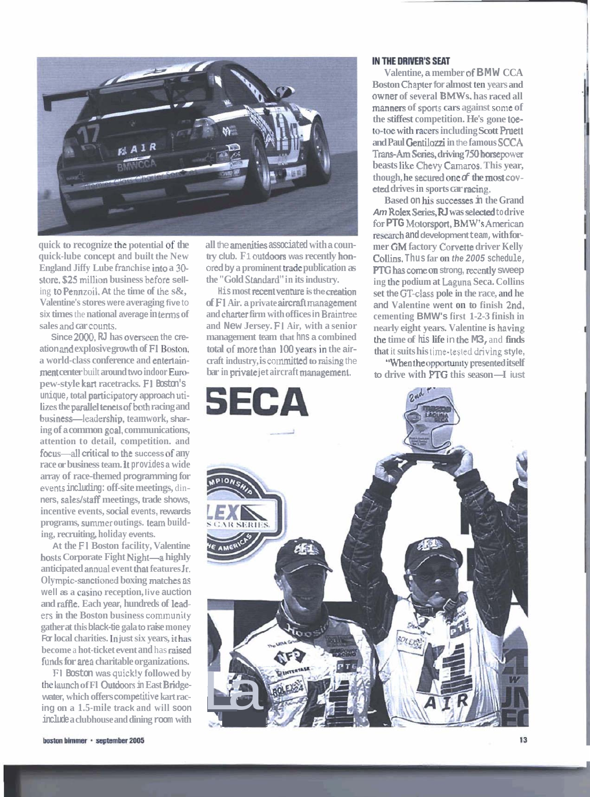

**quick to recognize the potential** of **the quick-lube concept and built the New England Jiffy Lube franchise into a 30store. \$25** million **business** before **sell**ing **to Pennzoil.** At the time of the s&, **Valentine's stores were averaging five** to **six times** the **national average in tenns of sales and car counts.** 

**Since 2000, RJ has overseen the creation and explosive growth of F1 Boston, a world-class conference and enteriainment center** built **around two indoor Em pew-style krut racetracks. F1 Boston's unique, total participatory approach** uti**lizes the parallel tenets of both racing and business**—leadership, teamwork, shar**ing of a common goal, communications, attention to detail, competition. and focus**—all critical to the success of any **race or business team. It provides a wide array of race-themed programming for events including: off-site meetings,** din**ners, saleslstaff meetings, trade shows, incentive events, social events, rewards programs, summer outings. tan building, recruiting, holiday events.** 

**At the F1 Boston facility, Valentine**  hosts Corporate Fight Night-a highly **anticipated** annual **event tha~ features Jr. Oly mpic-sanctioned boxing matches ns**   $w$ ell as a casino reception, live auction and **raffle**. Each year, hundreds of lead $ers in the Boston business community$ **gather at this black-tie gala to raise money For local charities. In just six years, it has become** a **hot-ticket event and** has **raised funds for area charitable organizations.** 

**Fl Boston was quickly followed by the** luunch **of Fl** Outdoors **in East Bridgewater, which offers competitive kart racing on a 1.5-mile track and will soon include a clubhouse and dining room with**  **all the amenities associated with a country club. F** 1 **outdoors was recently hm**ored **by a prominent** trade **publication as the "Gold Standard'' in its industry.** 

**His most recent venture is the creation of F1 Air. a private aircraft management and ch firm with offices in Brainfree and New Jersey. F1 Air, with a senior management team that hns a combined**   $total$  of more than 100 years in the air**craft industry, is** commitkd **to mising** the **bar in private jet aircraft managemeni.** 

## **IN THE DRIVER'S SEAT**

**Valentine, a member of BMW CCA Boston Chapter for almost ten years and owner of several BMWs, has raced all manners of sports cars against some of the stiffest competition. He's gone toe**to-toe with racers including Scott Pruett **and Paul** Gentilozzi **in** the **famous SCCA Trans-AmSeaies, driving 750horsepower beasts like Chevy Camaros. This year, though, he** seed **one of the most coveted drives in sports car racing.** 

**Based on his successes in the Grand Am Rolex Series, RI was** sedded **to drive for PTG Matorsport, BMW's American -h and development team, with former GM factory Corvette driver Kelly CoUins, Thus far on the 2005 schedule, PTG** has come on strong, recently sweep **ing** the **podium at Laguna Seca. Collins set the GT-cIass pole in the race, and he and Valentine went on to finish 2nd, cementing BMW's first 1-2-3 finish in nearly eight years. Valentine is having the time of his life** in the **M3,** and **finds that** it **suits his time-tesleddriving style,** 

**"When the opportunity presented itself that** it suits nis time-tested driving style,<br>
"When the opportunity presented itself<br> **to drive with PTG** this season—I iust